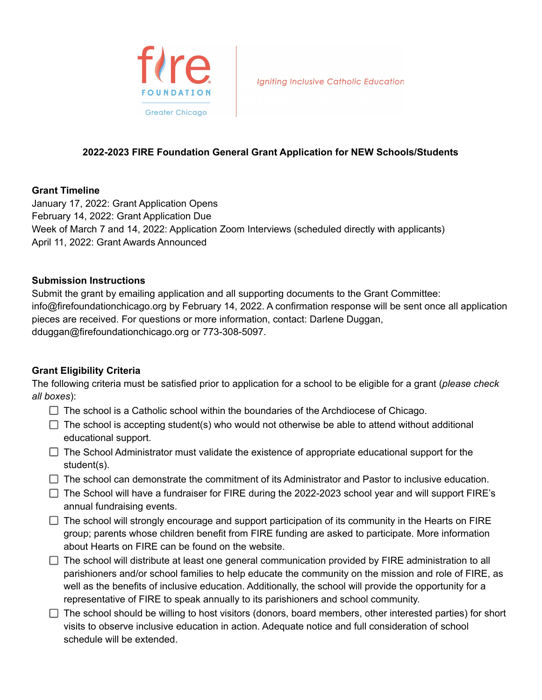

**Igniting Inclusive Catholic Education** 

# **2022-2023 FIRE Foundation General Grant Application for NEW Schools/Students**

#### **Grant Timeline**

January 17, 2022: Grant Application Opens February 14, 2022: Grant Application Due Week of March 7 and 14, 2022: Application Zoom Interviews (scheduled directly with applicants) April 11, 2022: Grant Awards Announced

## **Submission Instructions**

Submit the grant by emailing application and all supporting documents to the Grant Committee: info@firefoundationchicago.org by February 14, 2022. A confirmation response will be sent once all application pieces are received. For questions or more information, contact: Darlene Duggan, dduggan@firefoundationchicago.org or 773-308-5097.

## **Grant Eligibility Criteria**

The following criteria must be satisfied prior to application for a school to be eligible for a grant (*please check all boxes*):

- $\Box$  The school is a Catholic school within the boundaries of the Archdiocese of Chicago.
- $\Box$  The school is accepting student(s) who would not otherwise be able to attend without additional educational support.
- $\Box$  The School Administrator must validate the existence of appropriate educational support for the student(s).
- $\Box$  The school can demonstrate the commitment of its Administrator and Pastor to inclusive education.
- $\Box$  The School will have a fundraiser for FIRE during the 2022-2023 school year and will support FIRE's annual fundraising events.
- $\Box$  The school will strongly encourage and support participation of its community in the Hearts on FIRE group; parents whose children benefit from FIRE funding are asked to participate. More information about Hearts on FIRE can be found on the website.
- $\Box$  The school will distribute at least one general communication provided by FIRE administration to all parishioners and/or school families to help educate the community on the mission and role of FIRE, as well as the benefits of inclusive education. Additionally, the school will provide the opportunity for a representative of FIRE to speak annually to its parishioners and school community.
- $\Box$  The school should be willing to host visitors (donors, board members, other interested parties) for short visits to observe inclusive education in action. Adequate notice and full consideration of school schedule will be extended.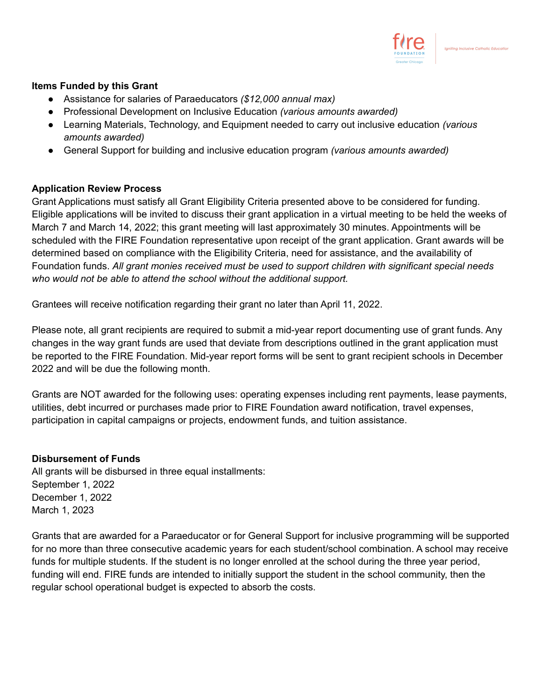

## **Items Funded by this Grant**

- Assistance for salaries of Paraeducators *(\$12,000 annual max)*
- Professional Development on Inclusive Education *(various amounts awarded)*
- Learning Materials, Technology, and Equipment needed to carry out inclusive education *(various amounts awarded)*
- General Support for building and inclusive education program *(various amounts awarded)*

## **Application Review Process**

Grant Applications must satisfy all Grant Eligibility Criteria presented above to be considered for funding. Eligible applications will be invited to discuss their grant application in a virtual meeting to be held the weeks of March 7 and March 14, 2022; this grant meeting will last approximately 30 minutes. Appointments will be scheduled with the FIRE Foundation representative upon receipt of the grant application. Grant awards will be determined based on compliance with the Eligibility Criteria, need for assistance, and the availability of Foundation funds. *All grant monies received must be used to support children with significant special needs who would not be able to attend the school without the additional support.*

Grantees will receive notification regarding their grant no later than April 11, 2022.

Please note, all grant recipients are required to submit a mid-year report documenting use of grant funds. Any changes in the way grant funds are used that deviate from descriptions outlined in the grant application must be reported to the FIRE Foundation. Mid-year report forms will be sent to grant recipient schools in December 2022 and will be due the following month.

Grants are NOT awarded for the following uses: operating expenses including rent payments, lease payments, utilities, debt incurred or purchases made prior to FIRE Foundation award notification, travel expenses, participation in capital campaigns or projects, endowment funds, and tuition assistance.

#### **Disbursement of Funds**

All grants will be disbursed in three equal installments: September 1, 2022 December 1, 2022 March 1, 2023

Grants that are awarded for a Paraeducator or for General Support for inclusive programming will be supported for no more than three consecutive academic years for each student/school combination. A school may receive funds for multiple students. If the student is no longer enrolled at the school during the three year period, funding will end. FIRE funds are intended to initially support the student in the school community, then the regular school operational budget is expected to absorb the costs.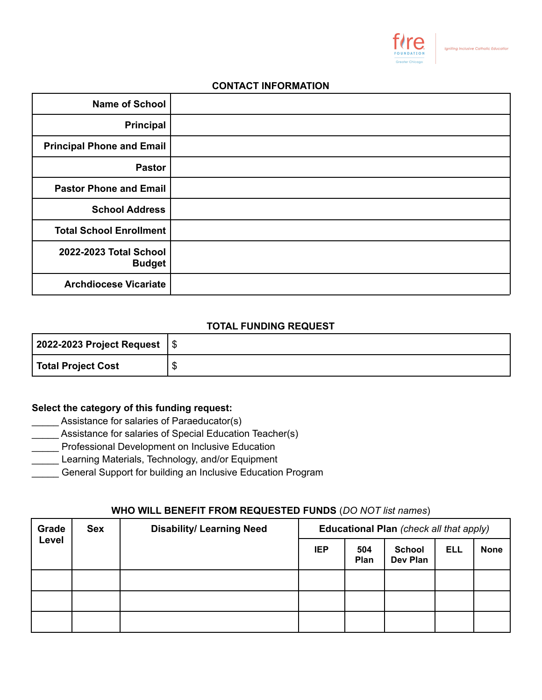

#### **CONTACT INFORMATION**

| <b>Name of School</b>                   |  |
|-----------------------------------------|--|
| <b>Principal</b>                        |  |
| <b>Principal Phone and Email</b>        |  |
| <b>Pastor</b>                           |  |
| <b>Pastor Phone and Email</b>           |  |
| <b>School Address</b>                   |  |
| <b>Total School Enrollment</b>          |  |
| 2022-2023 Total School<br><b>Budget</b> |  |
| <b>Archdiocese Vicariate</b>            |  |

### **TOTAL FUNDING REQUEST**

| 2022-2023 Project Request   \$ |    |
|--------------------------------|----|
| Total Project Cost             | ۰D |

## **Select the category of this funding request:**

- Assistance for salaries of Paraeducator(s)
- Assistance for salaries of Special Education Teacher(s)
- **Lacks** Professional Development on Inclusive Education
- Learning Materials, Technology, and/or Equipment
- \_\_\_\_\_ General Support for building an Inclusive Education Program

## **WHO WILL BENEFIT FROM REQUESTED FUNDS** (*DO NOT list names*)

| Grade | <b>Sex</b> | <b>Disability/ Learning Need</b> | Educational Plan (check all that apply) |             |                           |            |             |
|-------|------------|----------------------------------|-----------------------------------------|-------------|---------------------------|------------|-------------|
| Level |            |                                  | <b>IEP</b>                              | 504<br>Plan | <b>School</b><br>Dev Plan | <b>ELL</b> | <b>None</b> |
|       |            |                                  |                                         |             |                           |            |             |
|       |            |                                  |                                         |             |                           |            |             |
|       |            |                                  |                                         |             |                           |            |             |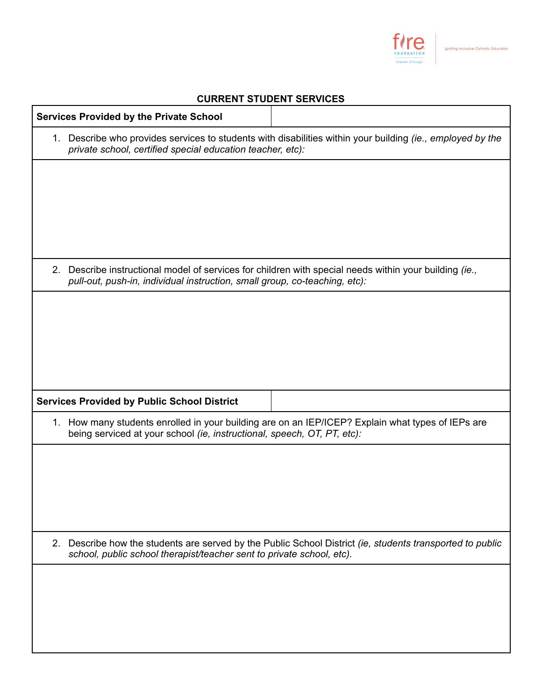

## **CURRENT STUDENT SERVICES**

|    | <b>Services Provided by the Private School</b>                                                                                                                                       |                                                                                                            |  |  |  |  |  |
|----|--------------------------------------------------------------------------------------------------------------------------------------------------------------------------------------|------------------------------------------------------------------------------------------------------------|--|--|--|--|--|
|    | private school, certified special education teacher, etc):                                                                                                                           | 1. Describe who provides services to students with disabilities within your building (ie., employed by the |  |  |  |  |  |
|    |                                                                                                                                                                                      |                                                                                                            |  |  |  |  |  |
|    |                                                                                                                                                                                      |                                                                                                            |  |  |  |  |  |
|    |                                                                                                                                                                                      |                                                                                                            |  |  |  |  |  |
|    | 2. Describe instructional model of services for children with special needs within your building (ie.,<br>pull-out, push-in, individual instruction, small group, co-teaching, etc): |                                                                                                            |  |  |  |  |  |
|    |                                                                                                                                                                                      |                                                                                                            |  |  |  |  |  |
|    |                                                                                                                                                                                      |                                                                                                            |  |  |  |  |  |
|    |                                                                                                                                                                                      |                                                                                                            |  |  |  |  |  |
|    | <b>Services Provided by Public School District</b>                                                                                                                                   |                                                                                                            |  |  |  |  |  |
|    | being serviced at your school (ie, instructional, speech, OT, PT, etc):                                                                                                              | 1. How many students enrolled in your building are on an IEP/ICEP? Explain what types of IEPs are          |  |  |  |  |  |
|    |                                                                                                                                                                                      |                                                                                                            |  |  |  |  |  |
|    |                                                                                                                                                                                      |                                                                                                            |  |  |  |  |  |
|    |                                                                                                                                                                                      |                                                                                                            |  |  |  |  |  |
| 2. | school, public school therapist/teacher sent to private school, etc).                                                                                                                | Describe how the students are served by the Public School District (ie, students transported to public     |  |  |  |  |  |
|    |                                                                                                                                                                                      |                                                                                                            |  |  |  |  |  |
|    |                                                                                                                                                                                      |                                                                                                            |  |  |  |  |  |
|    |                                                                                                                                                                                      |                                                                                                            |  |  |  |  |  |
|    |                                                                                                                                                                                      |                                                                                                            |  |  |  |  |  |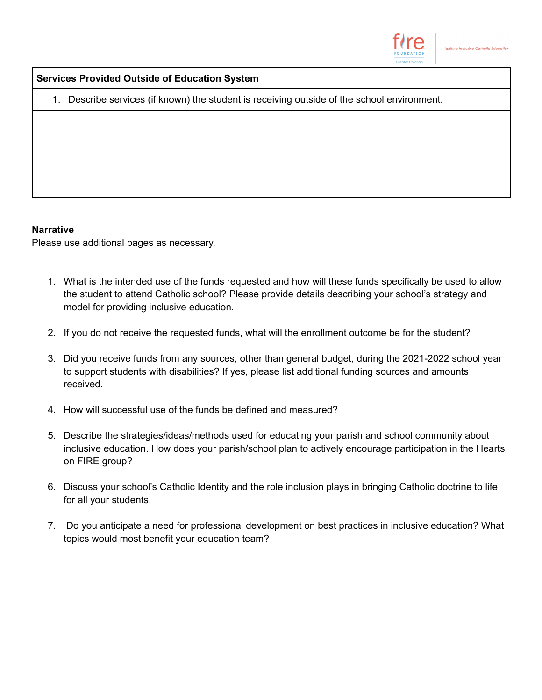

|  |  |  | <b>Services Provided Outside of Education System</b> |  |
|--|--|--|------------------------------------------------------|--|
|--|--|--|------------------------------------------------------|--|

1. Describe services (if known) the student is receiving outside of the school environment.

#### **Narrative**

Please use additional pages as necessary.

- 1. What is the intended use of the funds requested and how will these funds specifically be used to allow the student to attend Catholic school? Please provide details describing your school's strategy and model for providing inclusive education.
- 2. If you do not receive the requested funds, what will the enrollment outcome be for the student?
- 3. Did you receive funds from any sources, other than general budget, during the 2021-2022 school year to support students with disabilities? If yes, please list additional funding sources and amounts received.
- 4. How will successful use of the funds be defined and measured?
- 5. Describe the strategies/ideas/methods used for educating your parish and school community about inclusive education. How does your parish/school plan to actively encourage participation in the Hearts on FIRE group?
- 6. Discuss your school's Catholic Identity and the role inclusion plays in bringing Catholic doctrine to life for all your students.
- 7. Do you anticipate a need for professional development on best practices in inclusive education? What topics would most benefit your education team?